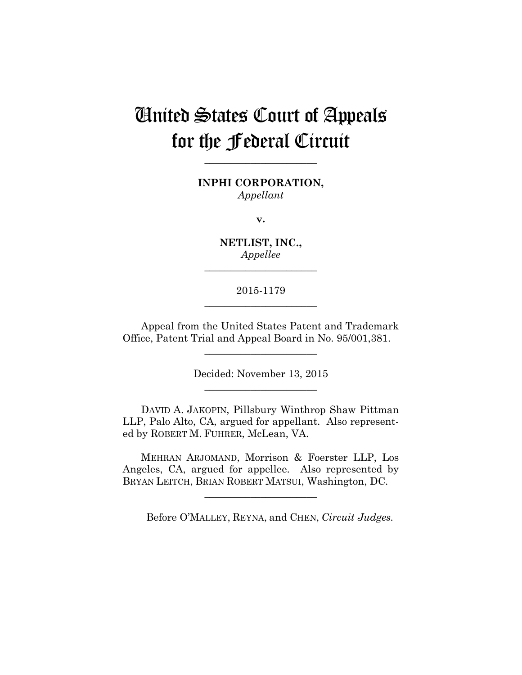# United States Court of Appeals for the Federal Circuit

**\_\_\_\_\_\_\_\_\_\_\_\_\_\_\_\_\_\_\_\_\_\_** 

**INPHI CORPORATION,** *Appellant*

**v.**

**NETLIST, INC.,** *Appellee*

**\_\_\_\_\_\_\_\_\_\_\_\_\_\_\_\_\_\_\_\_\_\_** 

# 2015-1179 **\_\_\_\_\_\_\_\_\_\_\_\_\_\_\_\_\_\_\_\_\_\_**

Appeal from the United States Patent and Trademark Office, Patent Trial and Appeal Board in No. 95/001,381.

**\_\_\_\_\_\_\_\_\_\_\_\_\_\_\_\_\_\_\_\_\_\_** 

Decided: November 13, 2015 **\_\_\_\_\_\_\_\_\_\_\_\_\_\_\_\_\_\_\_\_\_\_** 

DAVID A. JAKOPIN, Pillsbury Winthrop Shaw Pittman LLP, Palo Alto, CA, argued for appellant. Also represented by ROBERT M. FUHRER, McLean, VA.

MEHRAN ARJOMAND, Morrison & Foerster LLP, Los Angeles, CA, argued for appellee. Also represented by BRYAN LEITCH, BRIAN ROBERT MATSUI, Washington, DC.

**\_\_\_\_\_\_\_\_\_\_\_\_\_\_\_\_\_\_\_\_\_\_** 

Before O'MALLEY, REYNA, and CHEN, *Circuit Judges.*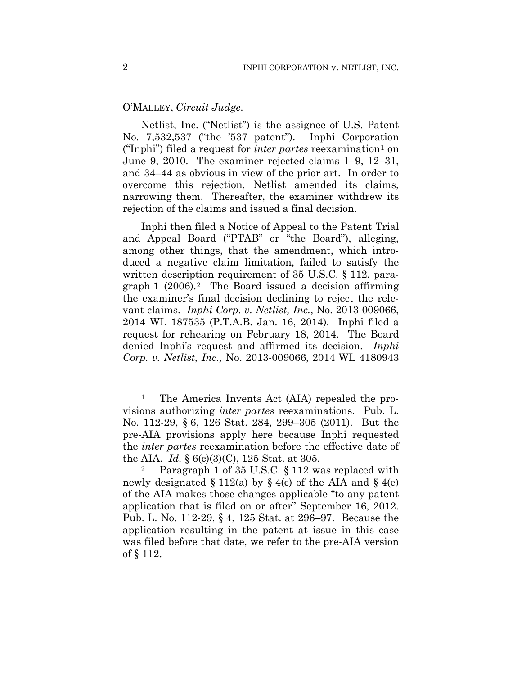## O'MALLEY, *Circuit Judge*.

Netlist, Inc. ("Netlist") is the assignee of U.S. Patent No. 7,532,537 ("the '537 patent"). Inphi Corporation ("Inphi") filed a request for *inter partes* reexamination1 on June 9, 2010. The examiner rejected claims 1–9, 12–31, and 34–44 as obvious in view of the prior art. In order to overcome this rejection, Netlist amended its claims, narrowing them. Thereafter, the examiner withdrew its rejection of the claims and issued a final decision.

Inphi then filed a Notice of Appeal to the Patent Trial and Appeal Board ("PTAB" or "the Board"), alleging, among other things, that the amendment, which introduced a negative claim limitation, failed to satisfy the written description requirement of 35 U.S.C. § 112, paragraph 1  $(2006).<sup>2</sup>$  The Board issued a decision affirming the examiner's final decision declining to reject the relevant claims. *Inphi Corp. v. Netlist, Inc.*, No. 2013-009066, 2014 WL 187535 (P.T.A.B. Jan. 16, 2014). Inphi filed a request for rehearing on February 18, 2014. The Board denied Inphi's request and affirmed its decision. *Inphi Corp. v. Netlist, Inc.,* No. 2013-009066, 2014 WL 4180943

1

<sup>&</sup>lt;sup>1</sup> The America Invents Act (AIA) repealed the provisions authorizing *inter partes* reexaminations. Pub. L. No. 112-29, § 6, 126 Stat. 284, 299–305 (2011). But the pre-AIA provisions apply here because Inphi requested the *inter partes* reexamination before the effective date of the AIA. *Id.* § 6(c)(3)(C), 125 Stat. at 305.

<sup>2</sup> Paragraph 1 of 35 U.S.C. § 112 was replaced with newly designated  $\S 112(a)$  by  $\S 4(c)$  of the AIA and  $\S 4(e)$ of the AIA makes those changes applicable "to any patent application that is filed on or after" September 16, 2012. Pub. L. No. 112-29, § 4, 125 Stat. at 296–97. Because the application resulting in the patent at issue in this case was filed before that date, we refer to the pre-AIA version of § 112.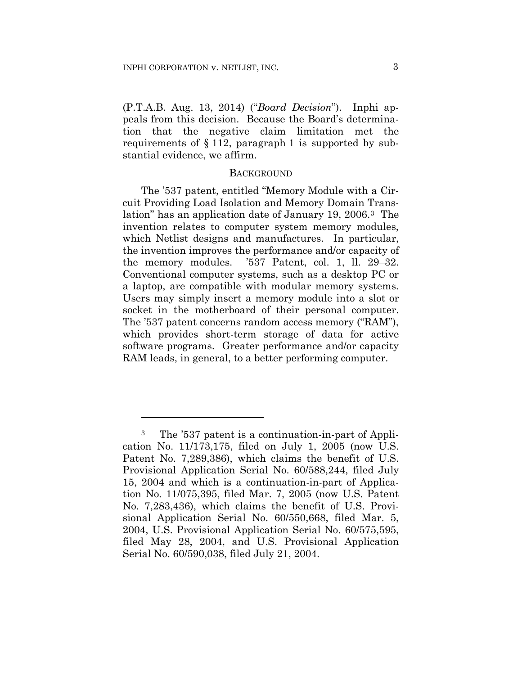1

(P.T.A.B. Aug. 13, 2014) ("*Board Decision*"). Inphi appeals from this decision. Because the Board's determination that the negative claim limitation met the requirements of § 112, paragraph 1 is supported by substantial evidence, we affirm.

## **BACKGROUND**

The '537 patent, entitled "Memory Module with a Circuit Providing Load Isolation and Memory Domain Translation" has an application date of January 19, 2006.3 The invention relates to computer system memory modules, which Netlist designs and manufactures. In particular, the invention improves the performance and/or capacity of the memory modules. '537 Patent, col. 1, ll. 29–32. Conventional computer systems, such as a desktop PC or a laptop, are compatible with modular memory systems. Users may simply insert a memory module into a slot or socket in the motherboard of their personal computer. The '537 patent concerns random access memory ("RAM"), which provides short-term storage of data for active software programs. Greater performance and/or capacity RAM leads, in general, to a better performing computer.

<sup>3</sup> The '537 patent is a continuation-in-part of Application No. 11/173,175, filed on July 1, 2005 (now U.S. Patent No. 7,289,386), which claims the benefit of U.S. Provisional Application Serial No. 60/588,244, filed July 15, 2004 and which is a continuation-in-part of Application No. 11/075,395, filed Mar. 7, 2005 (now U.S. Patent No. 7,283,436), which claims the benefit of U.S. Provisional Application Serial No. 60/550,668, filed Mar. 5, 2004, U.S. Provisional Application Serial No. 60/575,595, filed May 28, 2004, and U.S. Provisional Application Serial No. 60/590,038, filed July 21, 2004.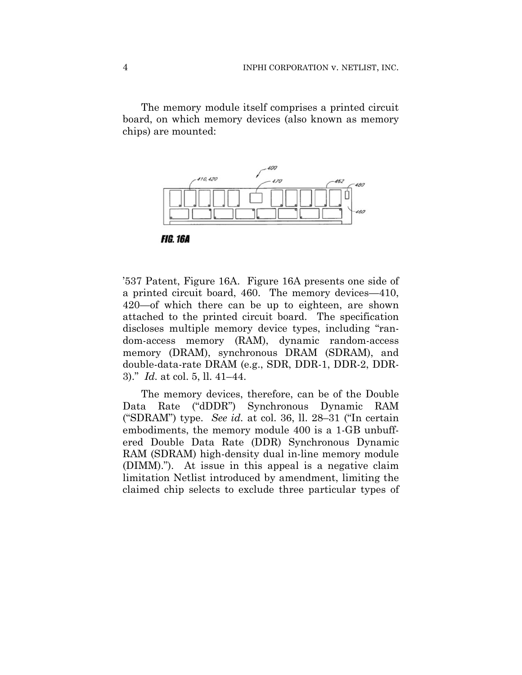The memory module itself comprises a printed circuit board, on which memory devices (also known as memory chips) are mounted:





'537 Patent, Figure 16A. Figure 16A presents one side of a printed circuit board, 460. The memory devices—410, 420—of which there can be up to eighteen, are shown attached to the printed circuit board. The specification discloses multiple memory device types, including "random-access memory (RAM), dynamic random-access memory (DRAM), synchronous DRAM (SDRAM), and double-data-rate DRAM (e.g., SDR, DDR-1, DDR-2, DDR-3)." *Id.* at col. 5, ll. 41–44.

The memory devices, therefore, can be of the Double Data Rate ("dDDR") Synchronous Dynamic RAM ("SDRAM") type. *See id.* at col. 36, ll. 28–31 ("In certain embodiments, the memory module 400 is a 1-GB unbuffered Double Data Rate (DDR) Synchronous Dynamic RAM (SDRAM) high-density dual in-line memory module (DIMM)."). At issue in this appeal is a negative claim limitation Netlist introduced by amendment, limiting the claimed chip selects to exclude three particular types of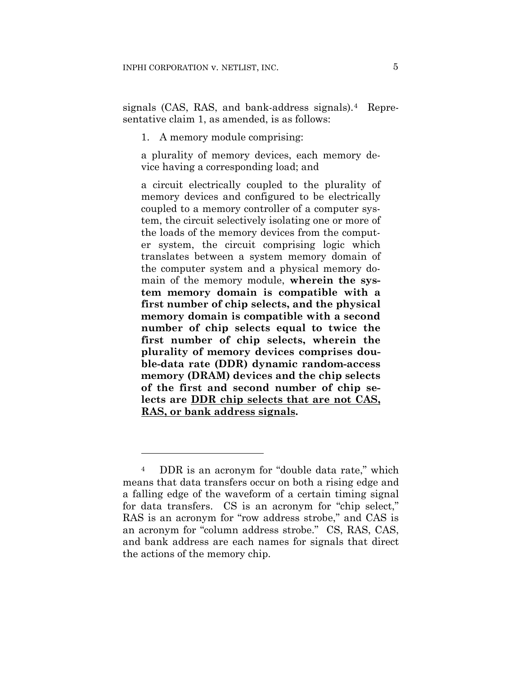signals (CAS, RAS, and bank-address signals).<sup>4</sup> Representative claim 1, as amended, is as follows:

1. A memory module comprising:

a plurality of memory devices, each memory device having a corresponding load; and

a circuit electrically coupled to the plurality of memory devices and configured to be electrically coupled to a memory controller of a computer system, the circuit selectively isolating one or more of the loads of the memory devices from the computer system, the circuit comprising logic which translates between a system memory domain of the computer system and a physical memory domain of the memory module, **wherein the system memory domain is compatible with a first number of chip selects, and the physical memory domain is compatible with a second number of chip selects equal to twice the first number of chip selects, wherein the plurality of memory devices comprises double-data rate (DDR) dynamic random-access memory (DRAM) devices and the chip selects of the first and second number of chip selects are DDR chip selects that are not CAS, RAS, or bank address signals.** 

1

<sup>4</sup> DDR is an acronym for "double data rate," which means that data transfers occur on both a rising edge and a falling edge of the waveform of a certain timing signal for data transfers. CS is an acronym for "chip select," RAS is an acronym for "row address strobe," and CAS is an acronym for "column address strobe." CS, RAS, CAS, and bank address are each names for signals that direct the actions of the memory chip.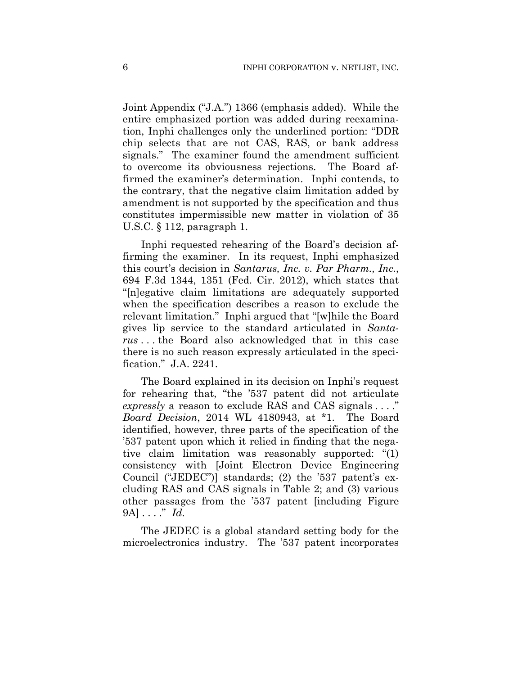Joint Appendix ("J.A.") 1366 (emphasis added). While the entire emphasized portion was added during reexamination, Inphi challenges only the underlined portion: "DDR chip selects that are not CAS, RAS, or bank address signals." The examiner found the amendment sufficient to overcome its obviousness rejections. The Board affirmed the examiner's determination. Inphi contends, to the contrary, that the negative claim limitation added by amendment is not supported by the specification and thus constitutes impermissible new matter in violation of 35 U.S.C. § 112, paragraph 1.

Inphi requested rehearing of the Board's decision affirming the examiner. In its request, Inphi emphasized this court's decision in *Santarus, Inc. v. Par Pharm., Inc.*, 694 F.3d 1344, 1351 (Fed. Cir. 2012), which states that "[n]egative claim limitations are adequately supported when the specification describes a reason to exclude the relevant limitation." Inphi argued that "[w]hile the Board gives lip service to the standard articulated in *Santarus* . . . the Board also acknowledged that in this case there is no such reason expressly articulated in the specification." J.A. 2241.

The Board explained in its decision on Inphi's request for rehearing that, "the '537 patent did not articulate *expressly* a reason to exclude RAS and CAS signals . . . ." *Board Decision*, 2014 WL 4180943, at \*1. The Board identified, however, three parts of the specification of the '537 patent upon which it relied in finding that the negative claim limitation was reasonably supported: "(1) consistency with [Joint Electron Device Engineering Council ("JEDEC")] standards; (2) the '537 patent's excluding RAS and CAS signals in Table 2; and (3) various other passages from the '537 patent [including Figure 9A] . . . ." *Id.*

The JEDEC is a global standard setting body for the microelectronics industry. The '537 patent incorporates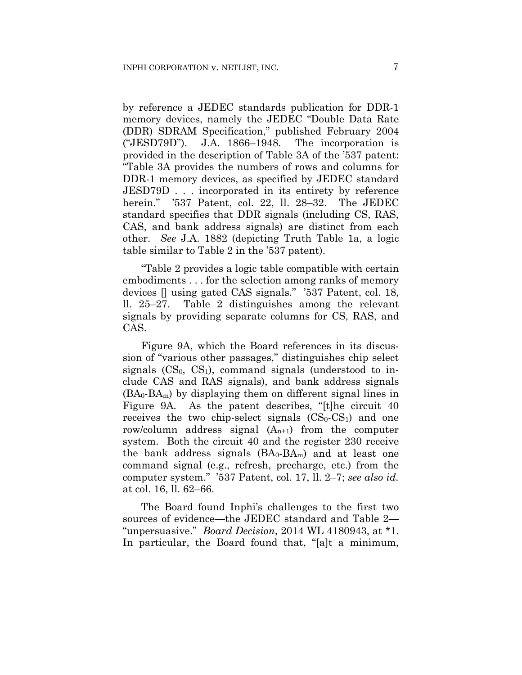by reference a JEDEC standards publication for DDR-1 memory devices, namely the JEDEC "Double Data Rate (DDR) SDRAM Specification," published February 2004 ("JESD79D"). J.A. 1866–1948. The incorporation is provided in the description of Table 3A of the '537 patent: "Table 3A provides the numbers of rows and columns for DDR-1 memory devices, as specified by JEDEC standard JESD79D . . . incorporated in its entirety by reference herein." '537 Patent, col. 22, ll. 28–32. The JEDEC standard specifies that DDR signals (including CS, RAS, CAS, and bank address signals) are distinct from each other. *See* J.A. 1882 (depicting Truth Table 1a, a logic table similar to Table 2 in the '537 patent).

"Table 2 provides a logic table compatible with certain embodiments . . . for the selection among ranks of memory devices [] using gated CAS signals." '537 Patent, col. 18, ll. 25–27. Table 2 distinguishes among the relevant signals by providing separate columns for CS, RAS, and CAS.

Figure 9A, which the Board references in its discussion of "various other passages," distinguishes chip select signals  $(CS_0, CS_1)$ , command signals (understood to include CAS and RAS signals), and bank address signals  $(BA_0-BA_m)$  by displaying them on different signal lines in Figure 9A. As the patent describes, "[t]he circuit 40 receives the two chip-select signals  $(CS_0$ - $CS_1)$  and one row/column address signal  $(A_{n+1})$  from the computer system. Both the circuit 40 and the register 230 receive the bank address signals  $(BA_0-BA_m)$  and at least one command signal (e.g., refresh, precharge, etc.) from the computer system." '537 Patent, col. 17, ll. 2–7; *see also id.* at col. 16, ll. 62–66.

The Board found Inphi's challenges to the first two sources of evidence—the JEDEC standard and Table 2— "unpersuasive." *Board Decision*, 2014 WL 4180943, at \*1. In particular, the Board found that, "[a]t a minimum,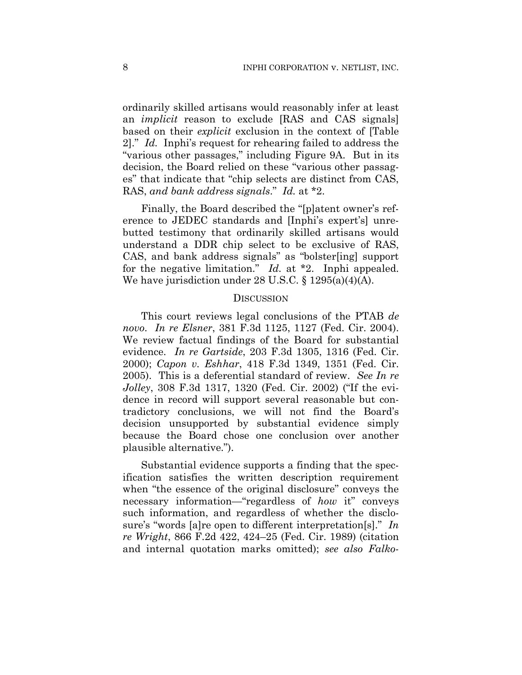ordinarily skilled artisans would reasonably infer at least an *implicit* reason to exclude [RAS and CAS signals] based on their *explicit* exclusion in the context of [Table 2]." *Id.* Inphi's request for rehearing failed to address the "various other passages," including Figure 9A. But in its decision, the Board relied on these "various other passages" that indicate that "chip selects are distinct from CAS, RAS, *and bank address signals*." *Id.* at \*2.

Finally, the Board described the "[p]atent owner's reference to JEDEC standards and [Inphi's expert's] unrebutted testimony that ordinarily skilled artisans would understand a DDR chip select to be exclusive of RAS, CAS, and bank address signals" as "bolster[ing] support for the negative limitation." *Id.* at \*2. Inphi appealed. We have jurisdiction under 28 U.S.C. § 1295(a)(4)(A).

### **DISCUSSION**

This court reviews legal conclusions of the PTAB *de novo*. *In re Elsner*, 381 F.3d 1125, 1127 (Fed. Cir. 2004). We review factual findings of the Board for substantial evidence. *In re Gartside*, 203 F.3d 1305, 1316 (Fed. Cir. 2000); *Capon v. Eshhar*, 418 F.3d 1349, 1351 (Fed. Cir. 2005). This is a deferential standard of review. *See In re Jolley*, 308 F.3d 1317, 1320 (Fed. Cir. 2002) ("If the evidence in record will support several reasonable but contradictory conclusions, we will not find the Board's decision unsupported by substantial evidence simply because the Board chose one conclusion over another plausible alternative.").

Substantial evidence supports a finding that the specification satisfies the written description requirement when "the essence of the original disclosure" conveys the necessary information—"regardless of *how* it" conveys such information, and regardless of whether the disclosure's "words [a]re open to different interpretation[s]." *In re Wright*, 866 F.2d 422, 424–25 (Fed. Cir. 1989) (citation and internal quotation marks omitted); *see also Falko-*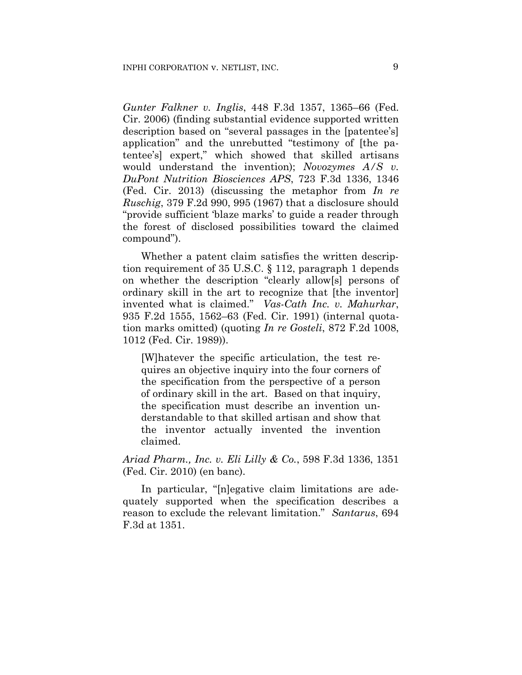*Gunter Falkner v. Inglis*, 448 F.3d 1357, 1365–66 (Fed. Cir. 2006) (finding substantial evidence supported written description based on "several passages in the [patentee's] application" and the unrebutted "testimony of [the patentee's] expert," which showed that skilled artisans would understand the invention); *Novozymes A/S v. DuPont Nutrition Biosciences APS*, 723 F.3d 1336, 1346 (Fed. Cir. 2013) (discussing the metaphor from *In re Ruschig*, 379 F.2d 990, 995 (1967) that a disclosure should "provide sufficient 'blaze marks' to guide a reader through the forest of disclosed possibilities toward the claimed compound").

Whether a patent claim satisfies the written description requirement of 35 U.S.C. § 112, paragraph 1 depends on whether the description "clearly allow[s] persons of ordinary skill in the art to recognize that [the inventor] invented what is claimed." *Vas-Cath Inc. v. Mahurkar*, 935 F.2d 1555, 1562–63 (Fed. Cir. 1991) (internal quotation marks omitted) (quoting *In re Gosteli*, 872 F.2d 1008, 1012 (Fed. Cir. 1989)).

[W]hatever the specific articulation, the test requires an objective inquiry into the four corners of the specification from the perspective of a person of ordinary skill in the art. Based on that inquiry, the specification must describe an invention understandable to that skilled artisan and show that the inventor actually invented the invention claimed.

*Ariad Pharm., Inc. v. Eli Lilly & Co.*, 598 F.3d 1336, 1351 (Fed. Cir. 2010) (en banc).

In particular, "[n]egative claim limitations are adequately supported when the specification describes a reason to exclude the relevant limitation." *Santarus*, 694 F.3d at 1351.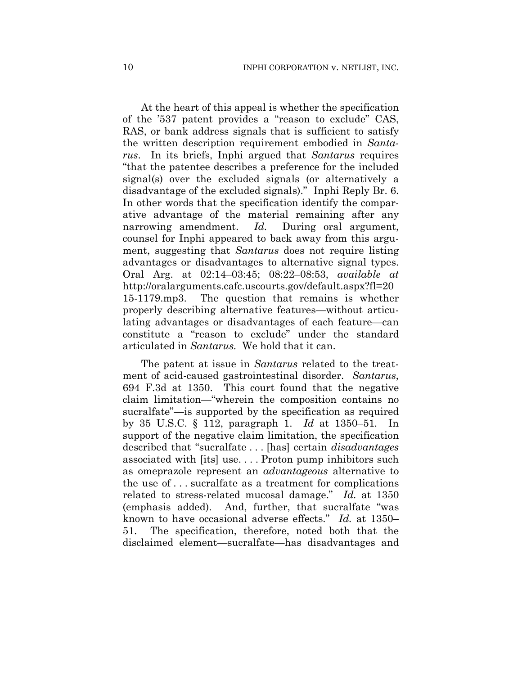At the heart of this appeal is whether the specification of the '537 patent provides a "reason to exclude" CAS, RAS, or bank address signals that is sufficient to satisfy the written description requirement embodied in *Santarus*. In its briefs, Inphi argued that *Santarus* requires "that the patentee describes a preference for the included signal(s) over the excluded signals (or alternatively a disadvantage of the excluded signals)." Inphi Reply Br. 6. In other words that the specification identify the comparative advantage of the material remaining after any narrowing amendment. *Id.* During oral argument, counsel for Inphi appeared to back away from this argument, suggesting that *Santarus* does not require listing advantages or disadvantages to alternative signal types. Oral Arg. at 02:14–03:45; 08:22–08:53, *available at* http://oralarguments.cafc.uscourts.gov/default.aspx?fl=20 15-1179.mp3. The question that remains is whether properly describing alternative features—without articulating advantages or disadvantages of each feature—can constitute a "reason to exclude" under the standard articulated in *Santarus.* We hold that it can.

The patent at issue in *Santarus* related to the treatment of acid-caused gastrointestinal disorder. *Santarus*, 694 F.3d at 1350. This court found that the negative claim limitation—"wherein the composition contains no sucralfate"—is supported by the specification as required by 35 U.S.C. § 112, paragraph 1. *Id* at 1350–51*.* In support of the negative claim limitation, the specification described that "sucralfate . . . [has] certain *disadvantages* associated with [its] use. . . . Proton pump inhibitors such as omeprazole represent an *advantageous* alternative to the use of . . . sucralfate as a treatment for complications related to stress-related mucosal damage." *Id.* at 1350 (emphasis added). And, further, that sucralfate "was known to have occasional adverse effects." *Id.* at 1350– 51. The specification, therefore, noted both that the disclaimed element—sucralfate—has disadvantages and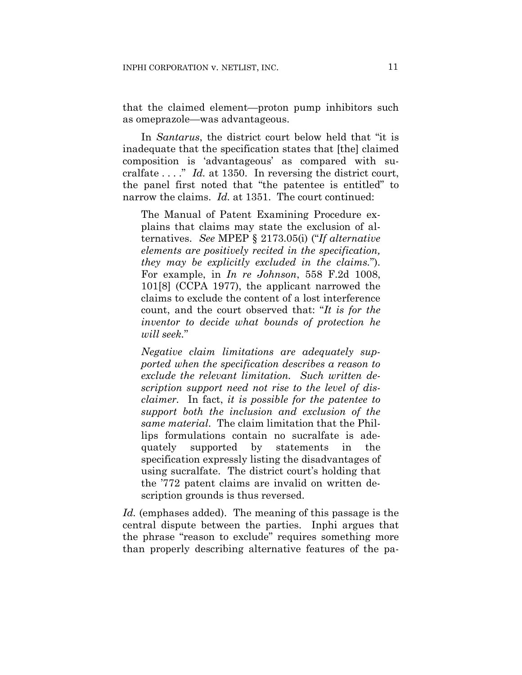that the claimed element—proton pump inhibitors such as omeprazole—was advantageous.

In *Santarus*, the district court below held that "it is inadequate that the specification states that [the] claimed composition is 'advantageous' as compared with sucralfate . . . ." *Id.* at 1350. In reversing the district court, the panel first noted that "the patentee is entitled" to narrow the claims. *Id.* at 1351. The court continued:

The Manual of Patent Examining Procedure explains that claims may state the exclusion of alternatives. *See* MPEP § 2173.05(i) ("*If alternative elements are positively recited in the specification, they may be explicitly excluded in the claims.*"). For example, in *In re Johnson*, 558 F.2d 1008, 101[8] (CCPA 1977), the applicant narrowed the claims to exclude the content of a lost interference count, and the court observed that: "*It is for the inventor to decide what bounds of protection he will seek.*"

*Negative claim limitations are adequately supported when the specification describes a reason to exclude the relevant limitation. Such written description support need not rise to the level of disclaimer.* In fact, *it is possible for the patentee to support both the inclusion and exclusion of the same material*. The claim limitation that the Phillips formulations contain no sucralfate is adequately supported by statements in the specification expressly listing the disadvantages of using sucralfate. The district court's holding that the '772 patent claims are invalid on written description grounds is thus reversed.

*Id.* (emphases added). The meaning of this passage is the central dispute between the parties. Inphi argues that the phrase "reason to exclude" requires something more than properly describing alternative features of the pa-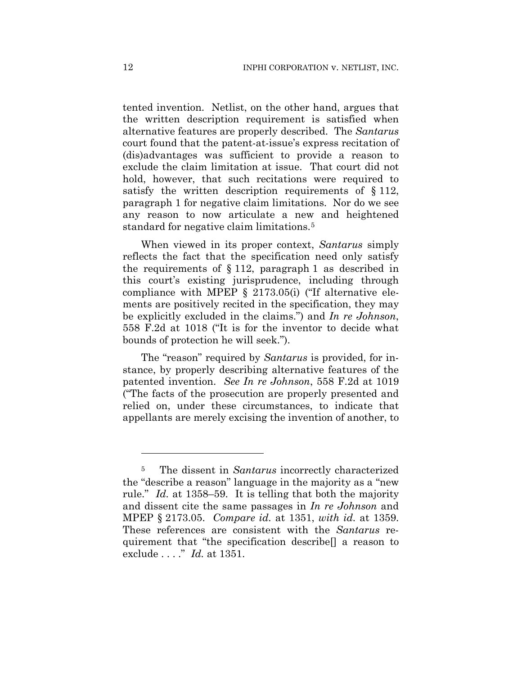tented invention. Netlist, on the other hand, argues that the written description requirement is satisfied when alternative features are properly described. The *Santarus* court found that the patent-at-issue's express recitation of (dis)advantages was sufficient to provide a reason to exclude the claim limitation at issue. That court did not hold, however, that such recitations were required to satisfy the written description requirements of § 112, paragraph 1 for negative claim limitations. Nor do we see any reason to now articulate a new and heightened standard for negative claim limitations.<sup>5</sup>

When viewed in its proper context, *Santarus* simply reflects the fact that the specification need only satisfy the requirements of  $\S 112$ , paragraph 1 as described in this court's existing jurisprudence, including through compliance with MPEP § 2173.05(i) ("If alternative elements are positively recited in the specification, they may be explicitly excluded in the claims.") and *In re Johnson*, 558 F.2d at 1018 ("It is for the inventor to decide what bounds of protection he will seek.").

The "reason" required by *Santarus* is provided, for instance, by properly describing alternative features of the patented invention. *See In re Johnson*, 558 F.2d at 1019 ("The facts of the prosecution are properly presented and relied on, under these circumstances, to indicate that appellants are merely excising the invention of another, to

1

<sup>5</sup> The dissent in *Santarus* incorrectly characterized the "describe a reason" language in the majority as a "new rule." *Id.* at 1358–59. It is telling that both the majority and dissent cite the same passages in *In re Johnson* and MPEP § 2173.05. *Compare id.* at 1351, *with id.* at 1359. These references are consistent with the *Santarus* requirement that "the specification describe[] a reason to exclude . . . ." *Id.* at 1351.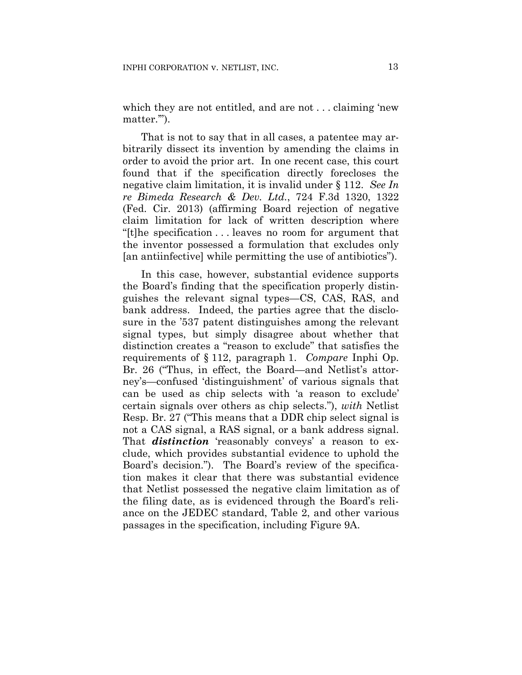which they are not entitled, and are not . . . claiming 'new matter."").

That is not to say that in all cases, a patentee may arbitrarily dissect its invention by amending the claims in order to avoid the prior art. In one recent case, this court found that if the specification directly forecloses the negative claim limitation, it is invalid under § 112. *See In re Bimeda Research & Dev. Ltd.*, 724 F.3d 1320, 1322 (Fed. Cir. 2013) (affirming Board rejection of negative claim limitation for lack of written description where "[t]he specification . . . leaves no room for argument that the inventor possessed a formulation that excludes only [an antiinfective] while permitting the use of antibiotics").

In this case, however, substantial evidence supports the Board's finding that the specification properly distinguishes the relevant signal types—CS, CAS, RAS, and bank address. Indeed, the parties agree that the disclosure in the '537 patent distinguishes among the relevant signal types, but simply disagree about whether that distinction creates a "reason to exclude" that satisfies the requirements of § 112, paragraph 1. *Compare* Inphi Op. Br. 26 ("Thus, in effect, the Board—and Netlist's attorney's—confused 'distinguishment' of various signals that can be used as chip selects with 'a reason to exclude' certain signals over others as chip selects."), *with* Netlist Resp. Br. 27 ("This means that a DDR chip select signal is not a CAS signal, a RAS signal, or a bank address signal. That *distinction* 'reasonably conveys' a reason to exclude, which provides substantial evidence to uphold the Board's decision."). The Board's review of the specification makes it clear that there was substantial evidence that Netlist possessed the negative claim limitation as of the filing date, as is evidenced through the Board's reliance on the JEDEC standard, Table 2, and other various passages in the specification, including Figure 9A.